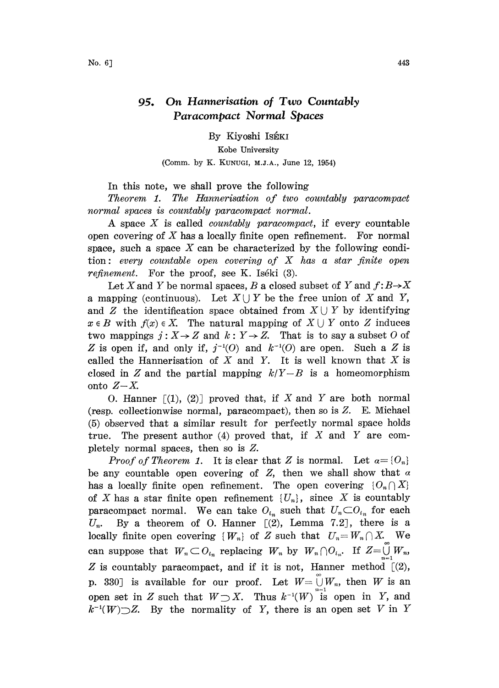## 95. On Hannerisation of Two Countably Paracompact Normal Spaces

By Kiyoshi IsÉKI

Kobe University (Comm. by K. KUNUGI, M.J.A., June 12, 1954)

In this note, we shall prove the following

Theorem 1. The Hannerisation of two countably paracompact normal spaces is countably paracompact normal.

A space  $X$  is called *countably paracompact*, if every countable open covering of  $X$  has a locally finite open refinement. For normal space, such a space  $X$  can be characterized by the following condition: every countable open covering of  $X$  has a star finite open *refinement.* For the proof, see K. Iséki  $(3)$ .

Let X and Y be normal spaces, B a closed subset of Y and  $f: B \rightarrow X$ a mapping (continuous). Let  $X \cup Y$  be the free union of X and Y, and Z the identification space obtained from  $X \cup Y$  by identifying  $x \in B$  with  $f(x) \in X$ . The natural mapping of  $X \cup Y$  onto Z induces two mappings  $j: X \rightarrow Z$  and  $k: Y \rightarrow Z$ . That is to say a subset O of Z is open if, and only if,  $j^{-1}(0)$  and  $k^{-1}(0)$  are open. Such a Z is called the Hannerisation of  $X$  and  $Y$ . It is well known that  $X$  is closed in Z and the partial mapping  $k/Y-B$  is a homeomorphism onto  $Z-X$ .

O. Hanner  $[(1), (2)]$  proved that, if X and Y are both normal (resp. collectionwise normal, paracompact), then so is  $Z$ . E. Michael (5) observed that a similar result for perfectly normal space holds true. The present author  $(4)$  proved that, if X and Y are completely normal spaces, then so is Z.

*Proof of Theorem 1.* It is clear that Z is normal. Let  $a = \{O_n\}$ be any countable open covering of  $Z$ , then we shall show that  $\alpha$ has a locally finite open refinement. The open covering  ${O_n \cap X}$ of X has a star finite open refinement  $\{U_n\}$ , since X is countably paracompact normal. We can take  $O_{i_n}$  such that  $U_n \subset O_{i_n}$  for each  $U_n$ . By a theorem of O. Hanner  $[(2)$ , Lemma 7.2, there is a locally finite open covering  $\{W_n\}$  of Z such that  $U_n = W_n \cap X$ . We can suppose that  $W_n \subset O_{i_n}$  replacing  $W_n$  by  $W_n \cap O_{i_n}$ . If  $Z = \bigcup_{n=1}^{\infty} W_n$ , Z is countably paracompact, and if it is not, Hanner method  $[(2),$ p. 330] is available for our proof. Let  $W = \overset{\circ}{\cup} W_n$ , then W is an open set in Z such that  $W\supset X$ . Thus  $k^{-1}(W)$  is open in Y, and  $k^{-1}(W) \supset Z$ . By the normality of Y, there is an open set V in Y